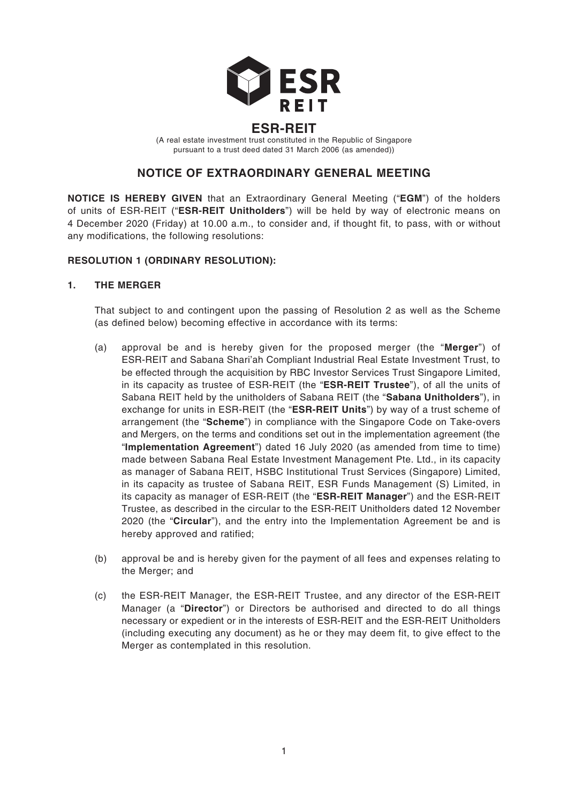

# **ESR-REIT**

(A real estate investment trust constituted in the Republic of Singapore pursuant to a trust deed dated 31 March 2006 (as amended))

# **NOTICE OF EXTRAORDINARY GENERAL MEETING**

**NOTICE IS HEREBY GIVEN** that an Extraordinary General Meeting ("**EGM**") of the holders of units of ESR-REIT ("**ESR-REIT Unitholders**") will be held by way of electronic means on 4 December 2020 (Friday) at 10.00 a.m., to consider and, if thought fit, to pass, with or without any modifications, the following resolutions:

# **RESOLUTION 1 (ORDINARY RESOLUTION):**

### **1. THE MERGER**

That subject to and contingent upon the passing of Resolution 2 as well as the Scheme (as defined below) becoming effective in accordance with its terms:

- (a) approval be and is hereby given for the proposed merger (the "**Merger**") of ESR-REIT and Sabana Shari'ah Compliant Industrial Real Estate Investment Trust, to be effected through the acquisition by RBC Investor Services Trust Singapore Limited, in its capacity as trustee of ESR-REIT (the "**ESR-REIT Trustee**"), of all the units of Sabana REIT held by the unitholders of Sabana REIT (the "**Sabana Unitholders**"), in exchange for units in ESR-REIT (the "**ESR-REIT Units**") by way of a trust scheme of arrangement (the "**Scheme**") in compliance with the Singapore Code on Take-overs and Mergers, on the terms and conditions set out in the implementation agreement (the "**Implementation Agreement**") dated 16 July 2020 (as amended from time to time) made between Sabana Real Estate Investment Management Pte. Ltd., in its capacity as manager of Sabana REIT, HSBC Institutional Trust Services (Singapore) Limited, in its capacity as trustee of Sabana REIT, ESR Funds Management (S) Limited, in its capacity as manager of ESR-REIT (the "**ESR-REIT Manager**") and the ESR-REIT Trustee, as described in the circular to the ESR-REIT Unitholders dated 12 November 2020 (the "**Circular**"), and the entry into the Implementation Agreement be and is hereby approved and ratified;
- (b) approval be and is hereby given for the payment of all fees and expenses relating to the Merger; and
- (c) the ESR-REIT Manager, the ESR-REIT Trustee, and any director of the ESR-REIT Manager (a "**Director**") or Directors be authorised and directed to do all things necessary or expedient or in the interests of ESR-REIT and the ESR-REIT Unitholders (including executing any document) as he or they may deem fit, to give effect to the Merger as contemplated in this resolution.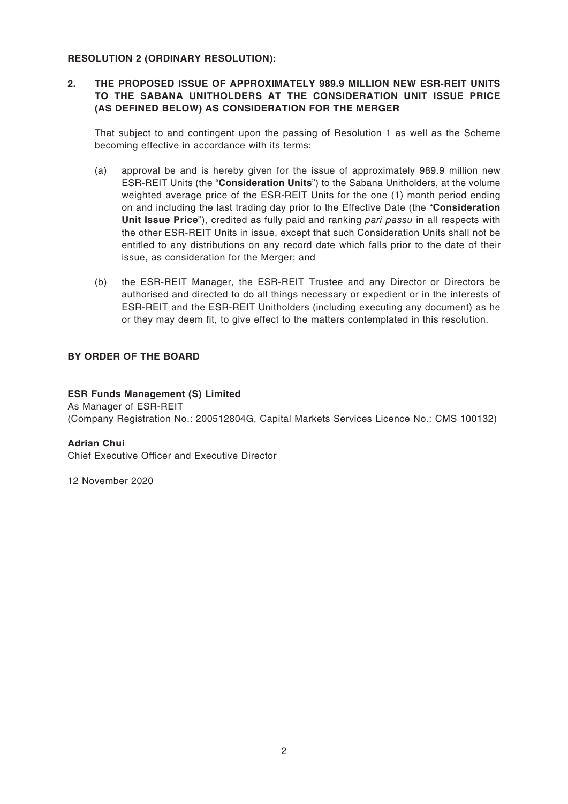### **RESOLUTION 2 (ORDINARY RESOLUTION):**

## **2. THE PROPOSED ISSUE OF APPROXIMATELY 989.9 MILLION NEW ESR-REIT UNITS TO THE SABANA UNITHOLDERS AT THE CONSIDERATION UNIT ISSUE PRICE (AS DEFINED BELOW) AS CONSIDERATION FOR THE MERGER**

That subject to and contingent upon the passing of Resolution 1 as well as the Scheme becoming effective in accordance with its terms:

- (a) approval be and is hereby given for the issue of approximately 989.9 million new ESR-REIT Units (the "**Consideration Units**") to the Sabana Unitholders, at the volume weighted average price of the ESR-REIT Units for the one (1) month period ending on and including the last trading day prior to the Effective Date (the "**Consideration Unit Issue Price**"), credited as fully paid and ranking *pari passu* in all respects with the other ESR-REIT Units in issue, except that such Consideration Units shall not be entitled to any distributions on any record date which falls prior to the date of their issue, as consideration for the Merger; and
- (b) the ESR-REIT Manager, the ESR-REIT Trustee and any Director or Directors be authorised and directed to do all things necessary or expedient or in the interests of ESR-REIT and the ESR-REIT Unitholders (including executing any document) as he or they may deem fit, to give effect to the matters contemplated in this resolution.

### **BY ORDER OF THE BOARD**

### **ESR Funds Management (S) Limited**

As Manager of ESR-REIT (Company Registration No.: 200512804G, Capital Markets Services Licence No.: CMS 100132)

### **Adrian Chui**

Chief Executive Officer and Executive Director

12 November 2020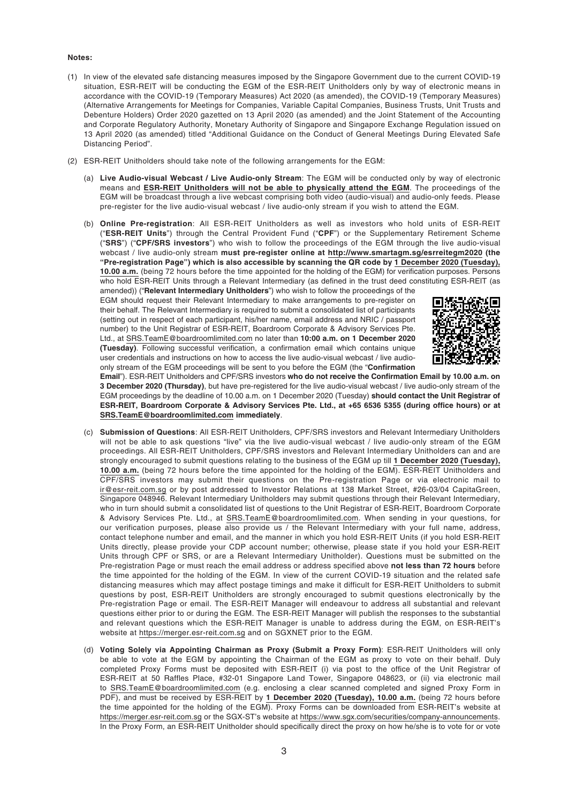#### **Notes:**

- (1) In view of the elevated safe distancing measures imposed by the Singapore Government due to the current COVID-19 situation, ESR-REIT will be conducting the EGM of the ESR-REIT Unitholders only by way of electronic means in accordance with the COVID-19 (Temporary Measures) Act 2020 (as amended), the COVID-19 (Temporary Measures) (Alternative Arrangements for Meetings for Companies, Variable Capital Companies, Business Trusts, Unit Trusts and Debenture Holders) Order 2020 gazetted on 13 April 2020 (as amended) and the Joint Statement of the Accounting and Corporate Regulatory Authority, Monetary Authority of Singapore and Singapore Exchange Regulation issued on 13 April 2020 (as amended) titled "Additional Guidance on the Conduct of General Meetings During Elevated Safe Distancing Period".
- (2) ESR-REIT Unitholders should take note of the following arrangements for the EGM:
	- (a) **Live Audio-visual Webcast / Live Audio-only Stream**: The EGM will be conducted only by way of electronic means and **ESR-REIT Unitholders will not be able to physically attend the EGM**. The proceedings of the EGM will be broadcast through a live webcast comprising both video (audio-visual) and audio-only feeds. Please pre-register for the live audio-visual webcast / live audio-only stream if you wish to attend the EGM.
	- (b) **Online Pre-registration**: All ESR-REIT Unitholders as well as investors who hold units of ESR-REIT ("**ESR-REIT Units**") through the Central Provident Fund ("**CPF**") or the Supplementary Retirement Scheme ("**SRS**") ("**CPF/SRS investors**") who wish to follow the proceedings of the EGM through the live audio-visual webcast / live audio-only stream **must pre-register online at http://www.smartagm.sg/esrreitegm2020 (the "Pre-registration Page") which is also accessible by scanning the QR code by 1 December 2020 (Tuesday), 10.00 a.m.** (being 72 hours before the time appointed for the holding of the EGM) for verification purposes. Persons who hold ESR-REIT Units through a Relevant Intermediary (as defined in the trust deed constituting ESR-REIT (as amended)) ("**Relevant Intermediary Unitholders**") who wish to follow the proceedings of the

EGM should request their Relevant Intermediary to make arrangements to pre-register on their behalf. The Relevant Intermediary is required to submit a consolidated list of participants (setting out in respect of each participant, his/her name, email address and NRIC / passport number) to the Unit Registrar of ESR-REIT, Boardroom Corporate & Advisory Services Pte. Ltd., at SRS.TeamE@boardroomlimited.com no later than **10:00 a.m. on 1 December 2020 (Tuesday)**. Following successful verification, a confirmation email which contains unique user credentials and instructions on how to access the live audio-visual webcast / live audioonly stream of the EGM proceedings will be sent to you before the EGM (the "**Confirmation** 



**Email**"). ESR-REIT Unitholders and CPF/SRS investors **who do not receive the Confirmation Email by 10.00 a.m. on 3 December 2020 (Thursday)**, but have pre-registered for the live audio-visual webcast / live audio-only stream of the EGM proceedings by the deadline of 10.00 a.m. on 1 December 2020 (Tuesday) **should contact the Unit Registrar of ESR-REIT, Boardroom Corporate & Advisory Services Pte. Ltd., at +65 6536 5355 (during office hours) or at SRS.TeamE@boardroomlimited.com immediately**.

- (c) **Submission of Questions**: All ESR-REIT Unitholders, CPF/SRS investors and Relevant Intermediary Unitholders will not be able to ask questions "live" via the live audio-visual webcast / live audio-only stream of the EGM proceedings. All ESR-REIT Unitholders, CPF/SRS investors and Relevant Intermediary Unitholders can and are strongly encouraged to submit questions relating to the business of the EGM up till **1 December 2020 (Tuesday), 10.00 a.m.** (being 72 hours before the time appointed for the holding of the EGM). ESR-REIT Unitholders and CPF/SRS investors may submit their questions on the Pre-registration Page or via electronic mail to ir@esr-reit.com.sg or by post addressed to Investor Relations at 138 Market Street, #26-03/04 CapitaGreen, Singapore 048946. Relevant Intermediary Unitholders may submit questions through their Relevant Intermediary, who in turn should submit a consolidated list of questions to the Unit Registrar of ESR-REIT, Boardroom Corporate & Advisory Services Pte. Ltd., at SRS.TeamE@boardroomlimited.com. When sending in your questions, for our verification purposes, please also provide us / the Relevant Intermediary with your full name, address, contact telephone number and email, and the manner in which you hold ESR-REIT Units (if you hold ESR-REIT Units directly, please provide your CDP account number; otherwise, please state if you hold your ESR-REIT Units through CPF or SRS, or are a Relevant Intermediary Unitholder). Questions must be submitted on the Pre-registration Page or must reach the email address or address specified above **not less than 72 hours** before the time appointed for the holding of the EGM. In view of the current COVID-19 situation and the related safe distancing measures which may affect postage timings and make it difficult for ESR-REIT Unitholders to submit questions by post, ESR-REIT Unitholders are strongly encouraged to submit questions electronically by the Pre-registration Page or email. The ESR-REIT Manager will endeavour to address all substantial and relevant questions either prior to or during the EGM. The ESR-REIT Manager will publish the responses to the substantial and relevant questions which the ESR-REIT Manager is unable to address during the EGM, on ESR-REIT's website at https://merger.esr-reit.com.sg and on SGXNET prior to the EGM.
- (d) **Voting Solely via Appointing Chairman as Proxy (Submit a Proxy Form)**: ESR-REIT Unitholders will only be able to vote at the EGM by appointing the Chairman of the EGM as proxy to vote on their behalf. Duly completed Proxy Forms must be deposited with ESR-REIT (i) via post to the office of the Unit Registrar of ESR-REIT at 50 Raffles Place, #32-01 Singapore Land Tower, Singapore 048623, or (ii) via electronic mail to SRS.TeamE@boardroomlimited.com (e.g. enclosing a clear scanned completed and signed Proxy Form in PDF), and must be received by ESR-REIT by **1 December 2020 (Tuesday), 10.00 a.m.** (being 72 hours before the time appointed for the holding of the EGM). Proxy Forms can be downloaded from ESR-REIT's website at https://merger.esr-reit.com.sg or the SGX-ST's website at https://www.sgx.com/securities/company-announcements. In the Proxy Form, an ESR-REIT Unitholder should specifically direct the proxy on how he/she is to vote for or vote